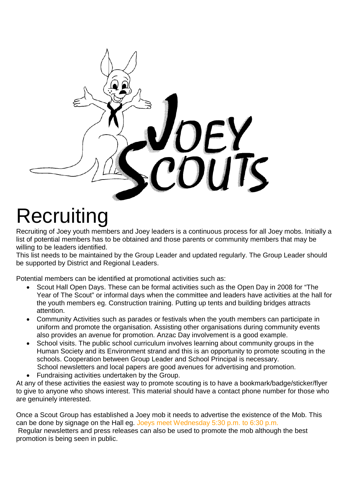

## **Recruiting**

Recruiting of Joey youth members and Joey leaders is a continuous process for all Joey mobs. Initially a list of potential members has to be obtained and those parents or community members that may be willing to be leaders identified.

This list needs to be maintained by the Group Leader and updated regularly. The Group Leader should be supported by District and Regional Leaders.

Potential members can be identified at promotional activities such as:

- Scout Hall Open Days. These can be formal activities such as the Open Day in 2008 for "The Year of The Scout" or informal days when the committee and leaders have activities at the hall for the youth members eg. Construction training. Putting up tents and building bridges attracts attention.
- Community Activities such as parades or festivals when the youth members can participate in uniform and promote the organisation. Assisting other organisations during community events also provides an avenue for promotion. Anzac Day involvement is a good example.
- School visits. The public school curriculum involves learning about community groups in the Human Society and its Environment strand and this is an opportunity to promote scouting in the schools. Cooperation between Group Leader and School Principal is necessary. School newsletters and local papers are good avenues for advertising and promotion.
- Fundraising activities undertaken by the Group.

At any of these activities the easiest way to promote scouting is to have a bookmark/badge/sticker/flyer to give to anyone who shows interest. This material should have a contact phone number for those who are genuinely interested.

Once a Scout Group has established a Joey mob it needs to advertise the existence of the Mob. This can be done by signage on the Hall eg. Joeys meet Wednesday 5:30 p.m. to 6:30 p.m. Regular newsletters and press releases can also be used to promote the mob although the best promotion is being seen in public.